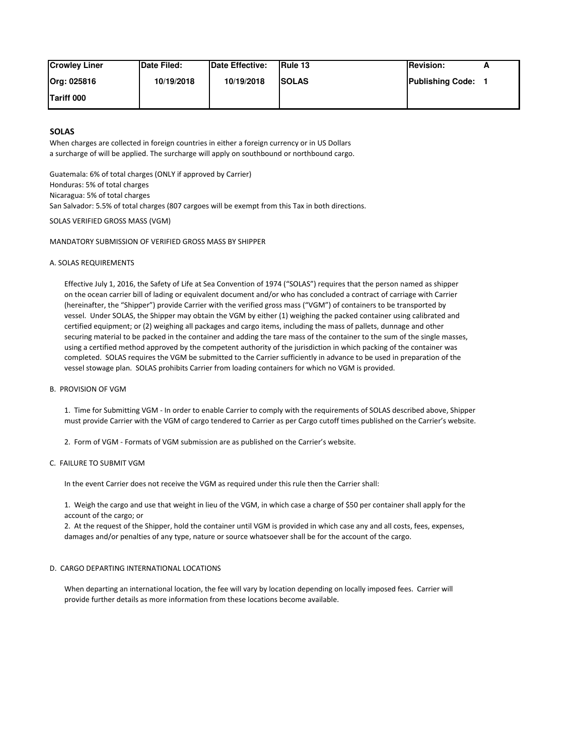| <b>Crowley Liner</b> | <b>Date Filed:</b> | <b>IDate Effective:</b> | <b>IRule 13</b> | <b>IRevision:</b>       |  |
|----------------------|--------------------|-------------------------|-----------------|-------------------------|--|
| Org: 025816          | 10/19/2018         | 10/19/2018              | <b>ISOLAS</b>   | <b>Publishing Code:</b> |  |
| <b>Tariff 000</b>    |                    |                         |                 |                         |  |

# **SOLAS**

When charges are collected in foreign countries in either a foreign currency or in US Dollars a surcharge of will be applied. The surcharge will apply on southbound or northbound cargo.

Guatemala: 6% of total charges (ONLY if approved by Carrier) Honduras: 5% of total charges Nicaragua: 5% of total charges San Salvador: 5.5% of total charges (807 cargoes will be exempt from this Tax in both directions.

SOLAS VERIFIED GROSS MASS (VGM)

## MANDATORY SUBMISSION OF VERIFIED GROSS MASS BY SHIPPER

#### A. SOLAS REQUIREMENTS

 Effective July 1, 2016, the Safety of Life at Sea Convention of 1974 ("SOLAS") requires that the person named as shipper on the ocean carrier bill of lading or equivalent document and/or who has concluded a contract of carriage with Carrier (hereinafter, the "Shipper") provide Carrier with the verified gross mass ("VGM") of containers to be transported by vessel. Under SOLAS, the Shipper may obtain the VGM by either (1) weighing the packed container using calibrated and certified equipment; or (2) weighing all packages and cargo items, including the mass of pallets, dunnage and other securing material to be packed in the container and adding the tare mass of the container to the sum of the single masses, using a certified method approved by the competent authority of the jurisdiction in which packing of the container was completed. SOLAS requires the VGM be submitted to the Carrier sufficiently in advance to be used in preparation of the vessel stowage plan. SOLAS prohibits Carrier from loading containers for which no VGM is provided.

#### B. PROVISION OF VGM

 1. Time for Submitting VGM - In order to enable Carrier to comply with the requirements of SOLAS described above, Shipper must provide Carrier with the VGM of cargo tendered to Carrier as per Cargo cutoff times published on the Carrier's website.

2. Form of VGM - Formats of VGM submission are as published on the Carrier's website.

## C. FAILURE TO SUBMIT VGM

In the event Carrier does not receive the VGM as required under this rule then the Carrier shall:

 1. Weigh the cargo and use that weight in lieu of the VGM, in which case a charge of \$50 per container shall apply for the account of the cargo; or

 2. At the request of the Shipper, hold the container until VGM is provided in which case any and all costs, fees, expenses, damages and/or penalties of any type, nature or source whatsoever shall be for the account of the cargo.

## D. CARGO DEPARTING INTERNATIONAL LOCATIONS

 When departing an international location, the fee will vary by location depending on locally imposed fees. Carrier will provide further details as more information from these locations become available.